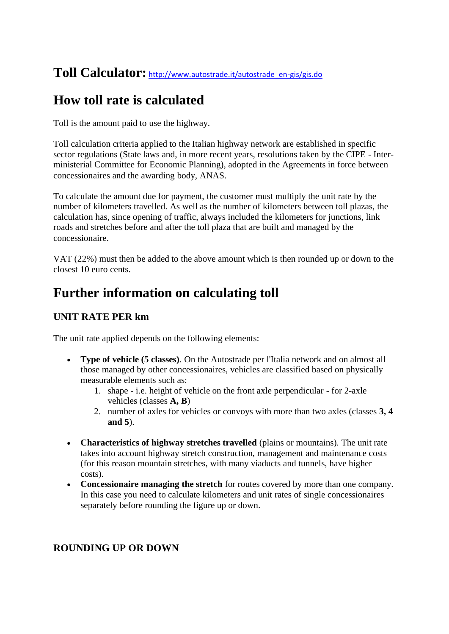## **Toll Calculator:** [http://www.autostrade.it/autostrade\\_en-gis/gis.do](http://www.autostrade.it/autostrade_en-gis/gis.do)

# **How toll rate is calculated**

Toll is the amount paid to use the highway.

Toll calculation criteria applied to the Italian highway network are established in specific sector regulations (State laws and, in more recent years, resolutions taken by the CIPE - Interministerial Committee for Economic Planning), adopted in the Agreements in force between concessionaires and the awarding body, ANAS.

To calculate the amount due for payment, the customer must multiply the unit rate by the number of kilometers travelled. As well as the number of kilometers between toll plazas, the calculation has, since opening of traffic, always included the kilometers for junctions, link roads and stretches before and after the toll plaza that are built and managed by the concessionaire.

VAT (22%) must then be added to the above amount which is then rounded up or down to the closest 10 euro cents.

# **Further information on calculating toll**

### **UNIT RATE PER km**

The unit rate applied depends on the following elements:

- **Type of vehicle (5 classes)**. On the Autostrade per l'Italia network and on almost all those managed by other concessionaires, vehicles are classified based on physically measurable elements such as:
	- 1. shape i.e. height of vehicle on the front axle perpendicular for 2-axle vehicles (classes **A, B**)
	- 2. number of axles for vehicles or convoys with more than two axles (classes **3, 4 and 5**).
- **Characteristics of highway stretches travelled** (plains or mountains). The unit rate takes into account highway stretch construction, management and maintenance costs (for this reason mountain stretches, with many viaducts and tunnels, have higher costs).
- **Concessionaire managing the stretch** for routes covered by more than one company. In this case you need to calculate kilometers and unit rates of single concessionaires separately before rounding the figure up or down.

### **ROUNDING UP OR DOWN**